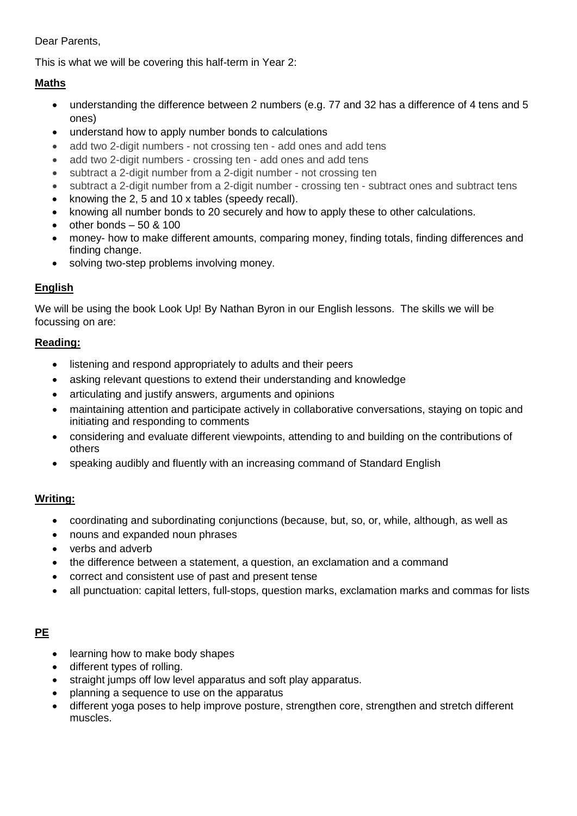### Dear Parents,

This is what we will be covering this half-term in Year 2:

#### **Maths**

- understanding the difference between 2 numbers (e.g. 77 and 32 has a difference of 4 tens and 5 ones)
- understand how to apply number bonds to calculations
- add two 2-digit numbers not crossing ten add ones and add tens
- add two 2-digit numbers crossing ten add ones and add tens
- subtract a 2-digit number from a 2-digit number not crossing ten
- subtract a 2-digit number from a 2-digit number crossing ten subtract ones and subtract tens
- knowing the 2, 5 and 10 x tables (speedy recall).
- knowing all number bonds to 20 securely and how to apply these to other calculations.
- other bonds 50 & 100
- money- how to make different amounts, comparing money, finding totals, finding differences and finding change.
- solving two-step problems involving money.

### **English**

We will be using the book Look Up! By Nathan Byron in our English lessons. The skills we will be focussing on are:

### **Reading:**

- listening and respond appropriately to adults and their peers
- asking relevant questions to extend their understanding and knowledge
- articulating and justify answers, arguments and opinions
- maintaining attention and participate actively in collaborative conversations, staying on topic and initiating and responding to comments
- considering and evaluate different viewpoints, attending to and building on the contributions of others
- speaking audibly and fluently with an increasing command of Standard English

# **Writing:**

- coordinating and subordinating conjunctions (because, but, so, or, while, although, as well as
- nouns and expanded noun phrases
- verbs and adverb
- the difference between a statement, a question, an exclamation and a command
- correct and consistent use of past and present tense
- all punctuation: capital letters, full-stops, question marks, exclamation marks and commas for lists

# **PE**

- learning how to make body shapes
- different types of rolling.
- straight jumps off low level apparatus and soft play apparatus.
- planning a sequence to use on the apparatus
- different yoga poses to help improve posture, strengthen core, strengthen and stretch different muscles.